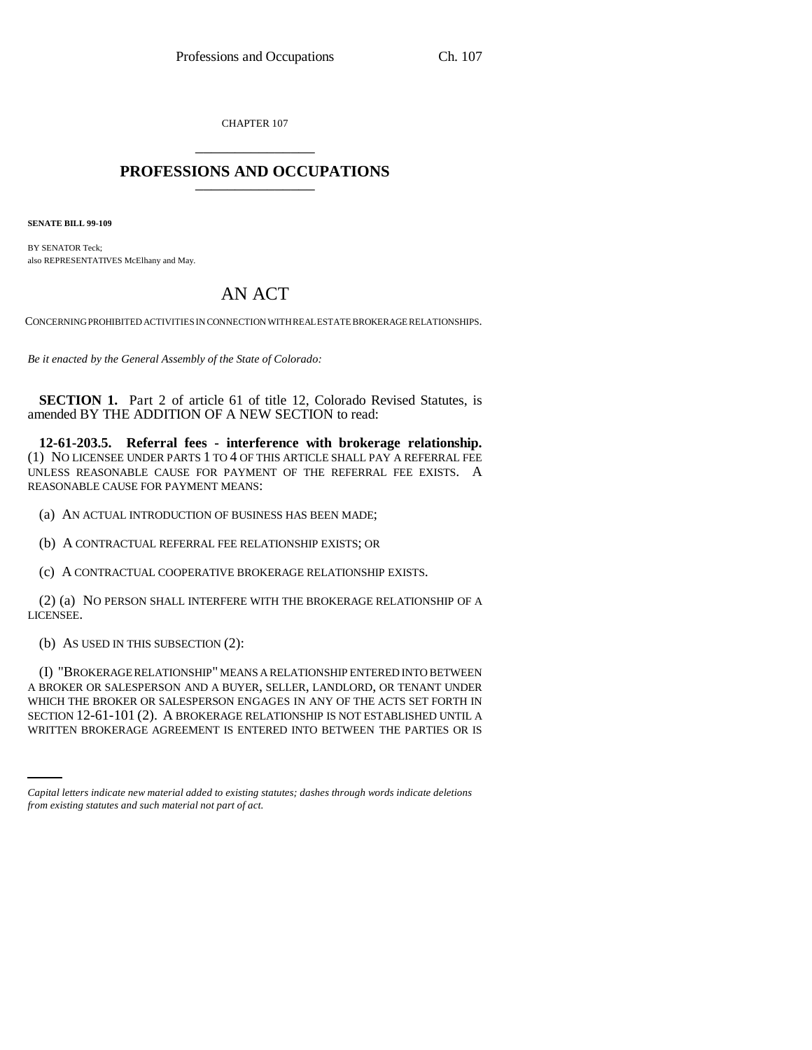CHAPTER 107 \_\_\_\_\_\_\_\_\_\_\_\_\_\_\_

## **PROFESSIONS AND OCCUPATIONS** \_\_\_\_\_\_\_\_\_\_\_\_\_\_\_

**SENATE BILL 99-109** 

BY SENATOR Teck; also REPRESENTATIVES McElhany and May.

## AN ACT

CONCERNING PROHIBITED ACTIVITIES IN CONNECTION WITH REAL ESTATE BROKERAGE RELATIONSHIPS.

*Be it enacted by the General Assembly of the State of Colorado:*

**SECTION 1.** Part 2 of article 61 of title 12, Colorado Revised Statutes, is amended BY THE ADDITION OF A NEW SECTION to read:

**12-61-203.5. Referral fees - interference with brokerage relationship.** (1) NO LICENSEE UNDER PARTS 1 TO 4 OF THIS ARTICLE SHALL PAY A REFERRAL FEE UNLESS REASONABLE CAUSE FOR PAYMENT OF THE REFERRAL FEE EXISTS. A REASONABLE CAUSE FOR PAYMENT MEANS:

(a) AN ACTUAL INTRODUCTION OF BUSINESS HAS BEEN MADE;

(b) A CONTRACTUAL REFERRAL FEE RELATIONSHIP EXISTS; OR

(c) A CONTRACTUAL COOPERATIVE BROKERAGE RELATIONSHIP EXISTS.

(2) (a) NO PERSON SHALL INTERFERE WITH THE BROKERAGE RELATIONSHIP OF A LICENSEE.

(b) AS USED IN THIS SUBSECTION (2):

WHICH THE BROKER OR SALESPERSON ENGAGES IN ANT OF THE ACTS SET FORTH IN<br>SECTION 12-61-101 (2). A BROKERAGE RELATIONSHIP IS NOT ESTABLISHED UNTIL A (I) "BROKERAGE RELATIONSHIP" MEANS A RELATIONSHIP ENTERED INTO BETWEEN A BROKER OR SALESPERSON AND A BUYER, SELLER, LANDLORD, OR TENANT UNDER WHICH THE BROKER OR SALESPERSON ENGAGES IN ANY OF THE ACTS SET FORTH IN WRITTEN BROKERAGE AGREEMENT IS ENTERED INTO BETWEEN THE PARTIES OR IS

*Capital letters indicate new material added to existing statutes; dashes through words indicate deletions from existing statutes and such material not part of act.*